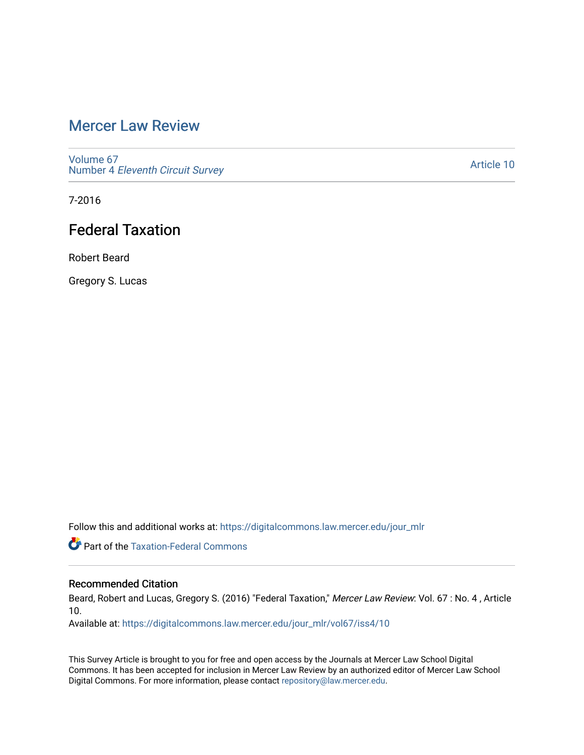# [Mercer Law Review](https://digitalcommons.law.mercer.edu/jour_mlr)

[Volume 67](https://digitalcommons.law.mercer.edu/jour_mlr/vol67) Number 4 [Eleventh Circuit Survey](https://digitalcommons.law.mercer.edu/jour_mlr/vol67/iss4) 

[Article 10](https://digitalcommons.law.mercer.edu/jour_mlr/vol67/iss4/10) 

7-2016

# Federal Taxation

Robert Beard

Gregory S. Lucas

Follow this and additional works at: [https://digitalcommons.law.mercer.edu/jour\\_mlr](https://digitalcommons.law.mercer.edu/jour_mlr?utm_source=digitalcommons.law.mercer.edu%2Fjour_mlr%2Fvol67%2Fiss4%2F10&utm_medium=PDF&utm_campaign=PDFCoverPages)

**Part of the [Taxation-Federal Commons](http://network.bepress.com/hgg/discipline/881?utm_source=digitalcommons.law.mercer.edu%2Fjour_mlr%2Fvol67%2Fiss4%2F10&utm_medium=PDF&utm_campaign=PDFCoverPages)** 

# Recommended Citation

Beard, Robert and Lucas, Gregory S. (2016) "Federal Taxation," Mercer Law Review: Vol. 67 : No. 4, Article 10.

Available at: [https://digitalcommons.law.mercer.edu/jour\\_mlr/vol67/iss4/10](https://digitalcommons.law.mercer.edu/jour_mlr/vol67/iss4/10?utm_source=digitalcommons.law.mercer.edu%2Fjour_mlr%2Fvol67%2Fiss4%2F10&utm_medium=PDF&utm_campaign=PDFCoverPages) 

This Survey Article is brought to you for free and open access by the Journals at Mercer Law School Digital Commons. It has been accepted for inclusion in Mercer Law Review by an authorized editor of Mercer Law School Digital Commons. For more information, please contact [repository@law.mercer.edu](mailto:repository@law.mercer.edu).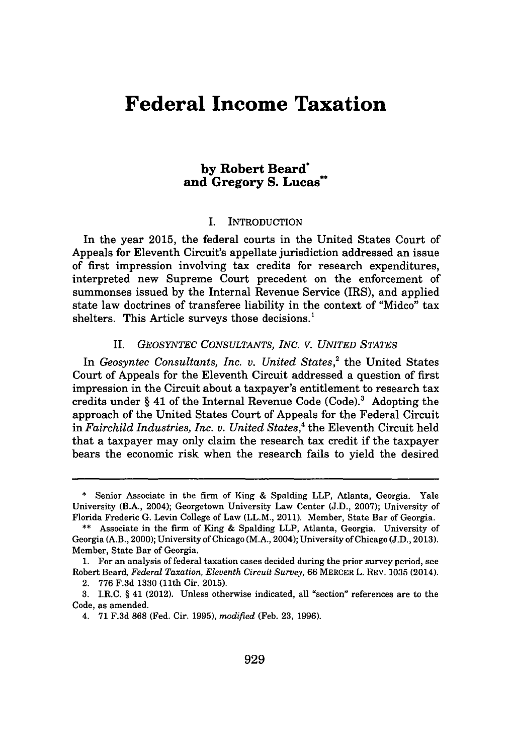# **Federal Income Taxation**

# **by Robert Beard\* and Gregory S. Lucas\*\***

#### I. INTRODUCTION

In the year **2015,** the federal courts in the United States Court of Appeals for Eleventh Circuit's appellate jurisdiction addressed an issue of first impression involving tax credits for research expenditures, interpreted new Supreme Court precedent on the enforcement of summonses issued **by** the Internal Revenue Service (IRS), and applied state law doctrines of transferee liability in the context of "Midco" tax shelters. This Article surveys those decisions.'

## *II. GEOSYNTEC CONSULTANTS, INC. V. UNITED STATES*

In Geosyntec Consultants, Inc. v. United States,<sup>2</sup> the United States Court of Appeals for the Eleventh Circuit addressed a question of first impression in the Circuit about a taxpayer's entitlement to research tax credits under **§** 41 of the Internal Revenue Code (Code).' Adopting the approach of the United States Court of Appeals for the Federal Circuit in *Fairchild Industries, Inc. v. United States,* the Eleventh Circuit held that a taxpayer may only claim the research tax credit if the taxpayer bears the economic risk when the research fails to yield the desired

**<sup>\*</sup>** Senior Associate in the firm of King **&** Spalding LLP, Atlanta, Georgia. Yale University (B.A., 2004); Georgetown University Law Center **(J.D., 2007);** University of Florida Frederic **G.** Levin College of Law (LL.M., 2011). Member, State Bar of Georgia.

**<sup>\*\*</sup>** Associate in the firm of King **&** Spalding LLP, Atlanta, Georgia. University of Georgia (A.B., 2000); University of Chicago (M.A., 2004); University of Chicago **(J.D., 2013).** Member, State Bar of Georgia.

**<sup>1.</sup>** For an analysis of federal taxation cases decided during the prior survey period, see Robert Beard, *Federal Taxation, Eleventh Circuit Survey, 66* MERCER L. REV. **1035** (2014).

<sup>2.</sup> **776 F.3d 1330** (11th Cir. **2015).**

**<sup>3.</sup>** I.R.C. **§** 41 (2012). Unless otherwise indicated, all "section" references are to the Code, as amended.

<sup>4.</sup> **71 F.3d 868** (Fed. Cir. **1995),** *modified* (Feb. **23, 1996).**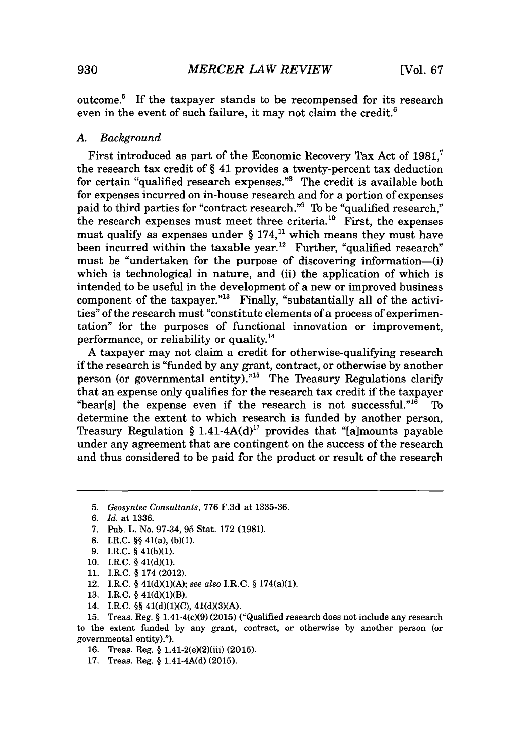outcome.' If the taxpayer stands to be recompensed for its research even in the event of such failure, it may not claim the credit. $<sup>6</sup>$ </sup>

#### *A. Background*

First introduced as part of the Economic Recovery Tax Act of **1981,'** the research tax credit of *§* 41 provides a twenty-percent tax deduction for certain "qualified research expenses."<sup>8</sup> The credit is available both for expenses incurred on in-house research and for a portion of expenses paid to third parties for "contract research."' To be "qualified research," the research expenses must meet three criteria.<sup>10</sup> First, the expenses must qualify as expenses under  $\S 174$ ,<sup>11</sup> which means they must have been incurred within the taxable year.<sup>12</sup> Further, "qualified research" must be "undertaken for the purpose of discovering information-(i) which is technological in nature, and (ii) the application of which is intended to be useful in the development of a new or improved business component of the taxpayer."<sup>13</sup> Finally, "substantially all of the activities" of the research must "constitute elements of a process of experimentation" for the purposes of functional innovation or improvement, performance, or reliability or quality.<sup>14</sup>

**A** taxpayer may not claim a credit for otherwise-qualifying research if the research is "funded **by** any grant, contract, or otherwise **by** another person (or governmental entity). $n_{15}$  The Treasury Regulations clarify that an expense only qualifies for the research tax credit if the taxpayer "bear[s] the expense even if the research is not successful."<sup>16</sup> To determine the extent to which research is funded **by** another person, Treasury Regulation *§* 1.41-4A(d)" provides that "[a]mounts payable under any agreement that are contingent on the success of the research and thus considered to be paid for the product or result of the research

- 8. I.R.C.  $\S$ § 41(a), (b)(1).
- **9.** I.R.C. **§** 41(b)(1).
- **10.** I.R.C. **§** 41(d)(1).
- **11.** I.R.C. **§** 174 (2012).
- 12. I.R.C. **§** 41(d)(1)(A); *see also* I.R.C. **§** 174(a)(1).
- **13.** I.R.C. **§** 41(d)(1)(B).
- 14. I.R.C. **§§** 41(d)(1)(C), **41(d)(3)(A).**

**15.** Treas. Reg. **§** 1.41-4(c)(9) **(2015)** ("Qualified research does not include any research to the extent funded **by** any grant, contract, or otherwise **by** another person (or governmental entity).").

- **16.** Treas. Reg. **§** 1.41-2(e)(2)(iii) **(2015).**
- **17.** Treas. Reg. **§** 1.41-4A(d) **(2015).**

**<sup>5.</sup>** *Geosyntec Consultants,* **776 F.3d** at **1335-36.**

*<sup>6.</sup> Id. at* **1336.**

**<sup>7.</sup>** Pub. L. No. **97-34, 95** Stat. **172 (1981).**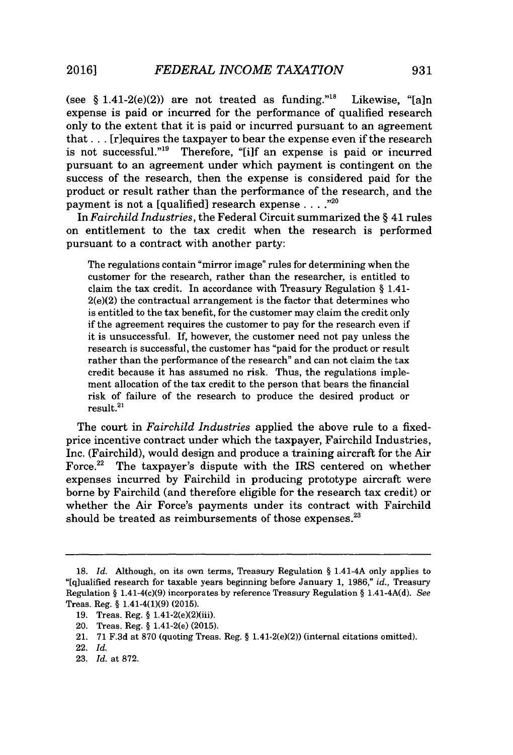(see  $\S$  1.41-2(e)(2)) are not treated as funding.<sup>"18</sup> Likewise, "[a]n expense is paid or incurred for the performance of qualified research only to the extent that it is paid or incurred pursuant to an agreement that . . . [r]equires the taxpayer to bear the expense even if the research is not successful."<sup>19</sup> Therefore, "[i]f an expense is paid or incurred pursuant to an agreement under which payment is contingent on the success of the research, then the expense is considered paid for the product or result rather than the performance of the research, and the payment is not a [qualified] research expense . . . .<sup>"20</sup>

In *Fairchild Industries,* the Federal Circuit summarized the *§* 41 rules on entitlement to the tax credit when the research is performed pursuant to a contract with another party:

The regulations contain "mirror image" rules for determining when the customer for the research, rather than the researcher, is entitled to claim the tax credit. In accordance with Treasury Regulation **§** 1.41-  $2(e)(2)$  the contractual arrangement is the factor that determines who is entitled to the tax benefit, for the customer may claim the credit only if the agreement requires the customer to pay for the research even if it is unsuccessful. **If,** however, the customer need not pay unless the research is successful, the customer has "paid for the product or result rather than the performance of the research" and can not claim the tax credit because it has assumed no risk. Thus, the regulations implement allocation of the tax credit to the person that bears the financial risk of failure of the research to produce the desired product or  $result.<sup>21</sup>$ 

The court in *Fairchild Industries* applied the above rule to a fixedprice incentive contract under which the taxpayer, Fairchild Industries, Inc. (Fairchild), would design and produce a training aircraft for the Air Force.<sup>22</sup> The taxpayer's dispute with the IRS centered on whether expenses incurred **by** Fairchild in producing prototype aircraft were borne **by** Fairchild (and therefore eligible for the research tax credit) or whether the Air Force's payments under its contract with Fairchild should be treated as reimbursements of those expenses. $^{23}$ 

**23.** *Id.* at **872.**

**<sup>18.</sup>** *Id.* Although, on its own terms, Treasury Regulation *§* 1.41-4A only applies to "[q]ualified research for taxable years beginning before January **1, 1986,"** *id.,* Treasury Regulation *§* 1.41-4(c)(9) incorporates **by** reference Treasury Regulation *§* 1.41-4A(d). *See* Treas. Reg. *§* 1.41-4(1)(9) **(2015).**

**<sup>19.</sup>** Treas. Reg. *§* 1.41-2(e)(2)(iii).

<sup>20.</sup> Treas. Reg. *§* 1.41-2(e) **(2015).**

<sup>21.</sup> **71 F.3d** at **870** (quoting Treas. Reg. *§* 1.41-2(e)(2)) (internal citations omitted).

<sup>22.</sup> *Id.*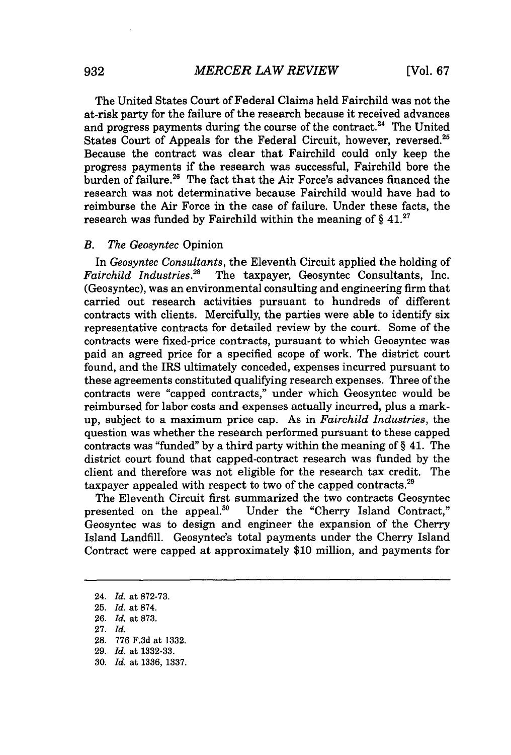The United States Court of Federal Claims held Fairchild was not the at-risk party for the failure of the research because it received advances and progress payments during the course of the contract. $^{24}$  The United States Court of Appeals for the Federal Circuit, however, reversed.<sup>25</sup> Because the contract was clear that Fairchild could only keep the progress payments if the research was successful, Fairchild bore the burden of failure.  $26$  The fact that the Air Force's advances financed the research was not determinative because Fairchild would have had to reimburse the Air Force in the case of failure. Under these facts, the research was funded **by** Fairchild within the meaning of *§* 41.27

#### *B. The Geosyntec* Opinion

*In Geosyntec Consultants,* the Eleventh Circuit applied the holding of *Fairchild Industries.28* The taxpayer, Geosyntec Consultants, Inc. (Geosyntec), was an environmental consulting and engineering firm that carried out research activities pursuant to hundreds of different contracts with clients. Mercifully, the parties were able to identify six representative contracts for detailed review **by** the court. Some of the contracts were fixed-price contracts, pursuant to which Geosyntec was paid an agreed price for a specified scope of work. The district court found, and the IRS ultimately conceded, expenses incurred pursuant to these agreements constituted qualifying research expenses. Three of the contracts were "capped contracts," under which Geosyntec would be reimbursed for labor costs and expenses actually incurred, plus a markup, subject to a maximum price cap. As in *Fairchild Industries,* the question was whether the research performed pursuant to these capped contracts was "funded" **by** a third party within the meaning of *§* 41. The district court found that capped-contract research was funded **by** the client and therefore was not eligible for the research tax credit. The taxpayer appealed with respect to two of the capped contracts.<sup>29</sup>

The Eleventh Circuit first summarized the two contracts Geosyntec presented on the appeal.<sup>30</sup> Under the "Cherry Island Contract." Under the "Cherry Island Contract," Geosyntec was to design and engineer the expansion of the Cherry Island Landfill. Geosyntec's total payments under the Cherry Island Contract were capped at approximately **\$10** million, and payments for

<sup>24.</sup> *Id.* at **872-73. 25.** *Id.* at **874. 26.** *Id.* at **873. 27.** *Id.* **28. 776 F.3d** at **1332. 29.** *Id.* at **1332-33. 30.** *Id.* at **1336, 1337.**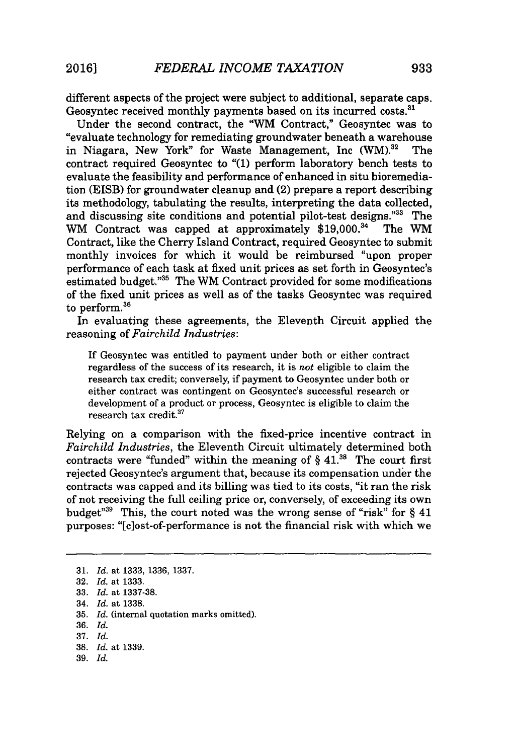different aspects of the project were subject to additional, separate caps. Geosyntec received monthly payments based on its incurred costs.<sup>31</sup>

Under the second contract, the "WM Contract," Geosyntec was to "evaluate technology for remediating groundwater beneath a warehouse in Niagara, New York" for Waste Management, Inc  $(WM)^{32}$  The contract required Geosyntec to **"(1)** perform laboratory bench tests to evaluate the feasibility and performance of enhanced in situ bioremediation **(EISB)** for groundwater cleanup and (2) prepare a report describing its methodology, tabulating the results, interpreting the data collected, and discussing site conditions and potential pilot-test designs." $33$  The WM Contract was capped at approximately \$19,000. $34$  The WM WM Contract was capped at approximately  $$19,000.<sup>34</sup>$ Contract, like the Cherry Island Contract, required Geosyntec to submit monthly invoices for which it would be reimbursed "upon proper performance of each task at fixed unit prices as set forth in Geosyntec's estimated budget."<sup>35</sup> The WM Contract provided for some modifications of the fixed unit prices as well as of the tasks Geosyntec was required to perform.<sup>36</sup>

In evaluating these agreements, the Eleventh Circuit applied the reasoning of *Fairchild Industries:*

If Geosyntec was entitled to payment under both or either contract regardless of the success of its research, it is *not* eligible to claim the research tax credit; conversely, if payment to Geosyntec under both or either contract was contingent on Geosyntec's successful research or development of a product or process, Geosyntec is eligible to claim the research tax credit.<sup>37</sup>

Relying on a comparison with the fixed-price incentive contract in *Fairchild Industries,* the Eleventh Circuit ultimately determined both contracts were "funded" within the meaning of  $\S 41$ <sup>38</sup>. The court first rejected Geosyntec's argument that, because its compensation under the contracts was capped and its billing was tied to its costs, "it ran the risk of not receiving the full ceiling price or, conversely, of exceeding its own budget<sup>"39</sup> This, the court noted was the wrong sense of "risk" for § 41 purposes: "[clost-of-performance is not the financial risk with which we

**39.** *Id.*

**<sup>31.</sup>** *Id.* at **1333, 1336, 1337.**

**<sup>32.</sup>** *Id.* at **1333.**

**<sup>33.</sup>** *Id.* at **1337-38.**

<sup>34.</sup> *Id.* at **1338.**

**<sup>35.</sup>** *Id.* (internal quotation marks omitted).

**<sup>36.</sup>** *Id.*

**<sup>37.</sup>** *Id.*

**<sup>38.</sup>** *Id.* at **1339.**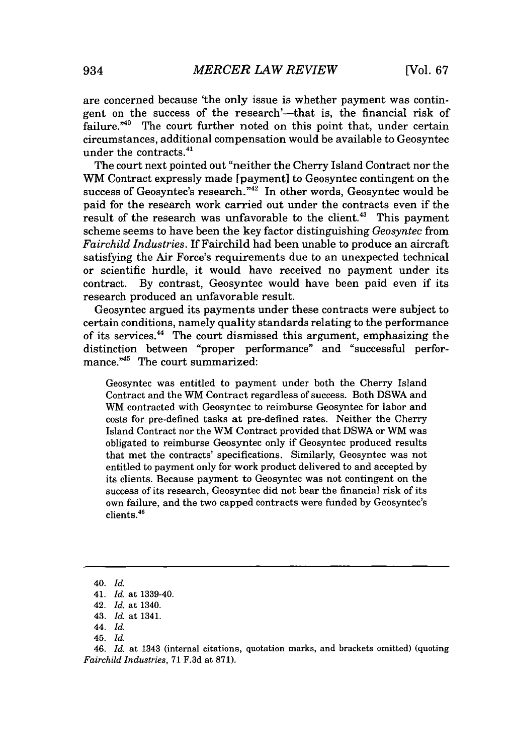are concerned because 'the only issue is whether payment was contingent on the success of the research'-that is, the financial risk of failure." $40$  The court further noted on this point that, under certain circumstances, additional compensation would be available to Geosyntec under the contracts. $41$ 

The court next pointed out "neither the Cherry Island Contract nor the WM Contract expressly made [payment] to Geosyntec contingent on the success of Geosyntec's research."<sup>42</sup> In other words, Geosyntec would be paid for the research work carried out under the contracts even if the result of the research was unfavorable to the client.<sup>43</sup> This payment scheme seems to have been the key factor distinguishing *Geosyntec* from *Fairchild Industries.* If Fairchild had been unable to produce an aircraft satisfying the Air Force's requirements due to an unexpected technical or scientific hurdle, it would have received no payment under its contract. **By** contrast, Geosyntec would have been paid even if its research produced an unfavorable result.

Geosyntec argued its payments under these contracts were subject to certain conditions, namely quality standards relating to the performance of its services.<sup>44</sup> The court dismissed this argument, emphasizing the distinction between "proper performance" and "successful performance."<sup>45</sup> The court summarized:

Geosyntec was entitled to payment under both the Cherry Island Contract and the WM Contract regardless of success. Both DSWA and WM contracted with Geosyntec to reimburse Geosyntec for labor and costs for pre-defined tasks at pre-defined rates. Neither the Cherry Island Contract nor the WM Contract provided that DSWA or WM was obligated to reimburse Geosyntec only if Geosyntec produced results that met the contracts' specifications. Similarly, Geosyntec was not entitled to payment only for work product delivered to and accepted **by** its clients. Because payment to Geosyntec was not contingent on the success of its research, Geosyntec did not bear the financial risk of its own failure, and the two capped contracts were funded **by** Geosyntec's clients.<sup>46</sup>

<sup>40.</sup> *Id.*

<sup>41.</sup> *Id.* at 1339-40.

<sup>42.</sup> *Id.* at 1340.

<sup>43.</sup> *Id.* at 1341.

*<sup>44.</sup> Id.*

<sup>45.</sup> *Id.*

*<sup>46.</sup> Id.* at 1343 (internal citations, quotation marks, and brackets omitted) (quoting *Fairchild Industries,* **71 F.3d** at **871).**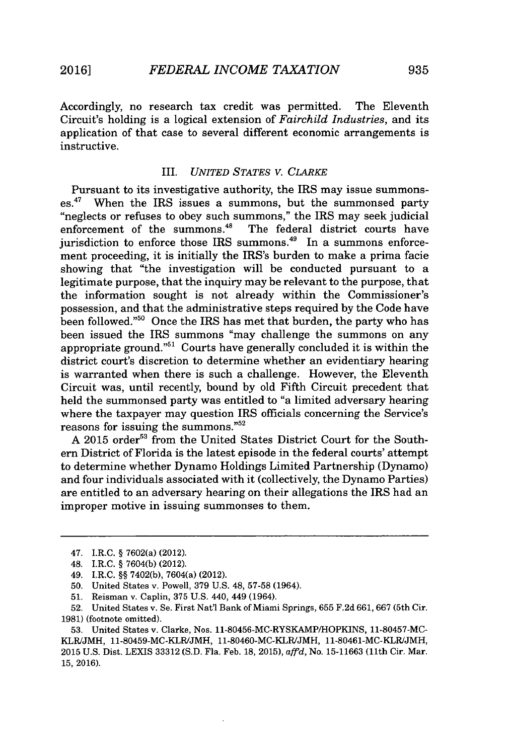Accordingly, no research tax credit was permitted. The Eleventh Circuit's holding is a logical extension of *Fairchild Industries,* and its application of that case to several different economic arrangements is instructive.

## *III. UNITED STATES V. CLARKE*

Pursuant to its investigative authority, the IRS may issue summonses.<sup>47</sup>When the IRS issues a summons, but the summonsed party "neglects or refuses to obey such summons," the IRS may seek judicial enforcement of the summons. $48$  The federal district courts have The federal district courts have jurisdiction to enforce those IRS summons.<sup>49</sup> In a summons enforcement proceeding, it is initially the IRS's burden to make a prima facie showing that "the investigation will be conducted pursuant to a legitimate purpose, that the inquiry may be relevant to the purpose, that the information sought is not already within the Commissioner's possession, and that the administrative steps required **by** the Code have been followed."<sup>50</sup> Once the IRS has met that burden, the party who has been issued the IRS summons "may challenge the summons on any appropriate ground."<sup>51</sup> Courts have generally concluded it is within the district court's discretion to determine whether an evidentiary hearing is warranted when there is such a challenge. However, the Eleventh Circuit was, until recently, bound **by** old Fifth Circuit precedent that held the summonsed party was entitled to "a limited adversary hearing where the taxpayer may question IRS officials concerning the Service's reasons for issuing the summons. $^{52}$ 

A 2015 order<sup>53</sup> from the United States District Court for the Southern District of Florida is the latest episode in the federal courts' attempt to determine whether Dynamo Holdings Limited Partnership (Dynamo) and four individuals associated with it (collectively, the Dynamo Parties) are entitled to an adversary hearing on their allegations the IRS had an improper motive in issuing summonses to them.

**53.** United States v. Clarke, Nos. 11-80456-MC-RYSKAMP/HOPKINS, **11-80457-MC-KLR/JMH,** 11-80459-MC-KLR/JMH, 11-80460-MC-KLR/JMH, 11-80461-MC-KLR/JMH, **2015 U.S.** Dist. LEXIS **33312 (S.D.** Fla. Feb. **18, 2015),** *affd,* No. **15-11663** (11th Cir. Mar. **15, 2016).**

<sup>47.</sup> I.R.C. *§* 7602(a) (2012).

<sup>48.</sup> I.R.C. *§* **7604(b)** (2012).

<sup>49.</sup> I.R.C. *§§* **7402(b),** 7604(a) (2012).

**<sup>50.</sup>** United States v. Powell, **379 U.S.** 48, **57-58** (1964).

**<sup>51.</sup>** Reisman v. Caplin, **375 U.S.** 440, 449 (1964).

**<sup>52.</sup>** United States v. Se. First Nat'l Bank of Miami Springs, **655 F.2d 661, 667** (5th Cir. **1981)** (footnote omitted).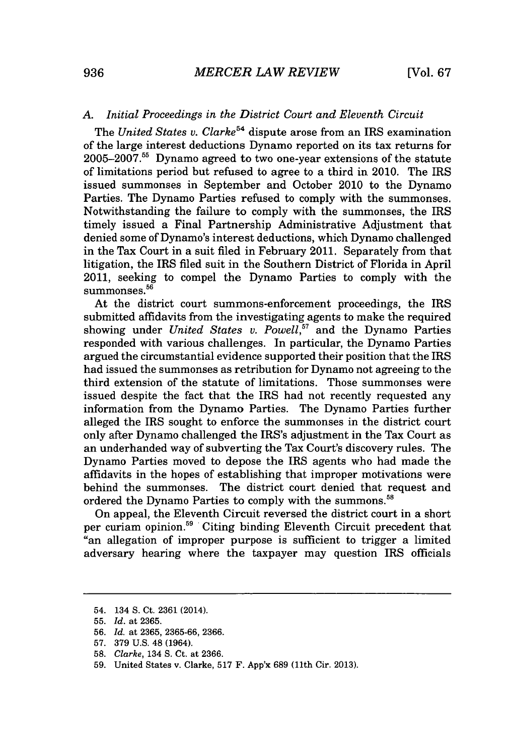# *A. Initial Proceedings in the District Court and Eleventh Circuit*

The *United States v. Clarke*<sup>54</sup> dispute arose from an IRS examination of the large interest deductions Dynamo reported on its tax returns for **2005-2007.55** Dynamo agreed to two one-year extensions of the statute of limitations period but refused to agree to a third in 2010. The IRS issued summonses in September and October 2010 to the Dynamo Parties. The Dynamo Parties refused to comply with the summonses. Notwithstanding the failure to comply with the summonses, the IRS timely issued a Final Partnership Administrative Adjustment that denied some of Dynamo's interest deductions, which Dynamo challenged in the Tax Court in a suit filed in February 2011. Separately from that litigation, the IRS filed suit in the Southern District of Florida in April 2011, seeking to compel the Dynamo Parties to comply with the summonses.<sup>56</sup>

At the district court summons-enforcement proceedings, the IRS submitted affidavits from the investigating agents to make the required showing under *United States v. Powell,"* and the Dynamo Parties responded with various challenges. In particular, the Dynamo Parties argued the circumstantial evidence supported their position that the IRS had issued the summonses as retribution for Dynamo not agreeing to the third extension of the statute of limitations. Those summonses were issued despite the fact that the IRS had not recently requested any information from the Dynamo Parties. The Dynamo Parties further alleged the IRS sought to enforce the summonses in the district court only after Dynamo challenged the IRS's adjustment in the Tax Court as an underhanded way of subverting the Tax Court's discovery rules. The Dynamo Parties moved to depose the IRS agents who had made the affidavits in the hopes of establishing that improper motivations were behind the summonses. The district court denied that request and ordered the Dynamo Parties to comply with the summons.<sup>58</sup>

On appeal, the Eleventh Circuit reversed the district court in a short per curiam opinion.<sup>59</sup> Citing binding Eleventh Circuit precedent that "an allegation of improper purpose is sufficient to trigger a limited adversary hearing where the taxpayer may question IRS officials

<sup>54. 134</sup> **S.** Ct. **2361** (2014).

**<sup>55.</sup>** *Id. at* **2365.**

**<sup>56.</sup>** *Id. at* **2365, 2365-66, 2366.**

**<sup>57. 379</sup> U.S.** 48 (1964).

**<sup>58.</sup>** *Clarke,* 134 **S.** Ct. at **2366.**

**<sup>59.</sup>** United States v. Clarke, **517** F. App'x **689** (11th Cir. **2013).**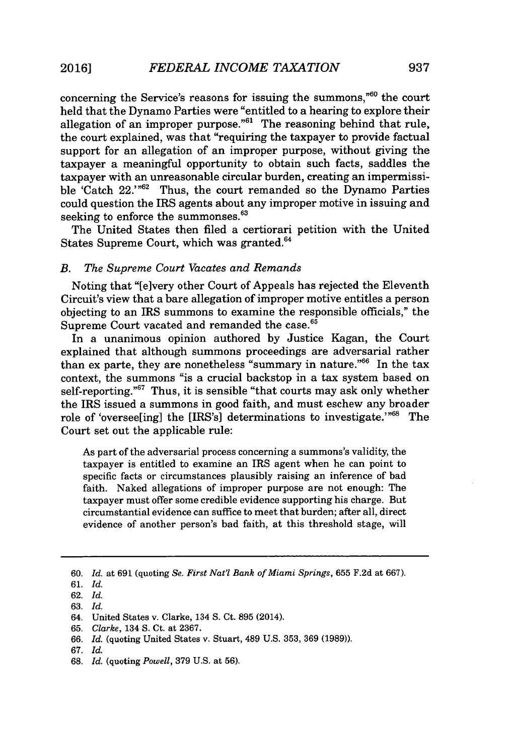concerning the Service's reasons for issuing the summons, $^{060}$  the court held that the Dynamo Parties were "entitled to a hearing to explore their allegation of an improper purpose."<sup>61</sup> The reasoning behind that rule, the court explained, was that "requiring the taxpayer to provide factual support for an allegation of an improper purpose, without giving the taxpayer a meaningful opportunity to obtain such facts, saddles the taxpayer with an unreasonable circular burden, creating an impermissible 'Catch 22.'"<sup>62</sup> Thus, the court remanded so the Dynamo Parties could question the IRS agents about any improper motive in issuing and seeking to enforce the summonses.<sup>63</sup>

The United States then filed a certiorari petition with the United States Supreme Court, which was granted.<sup>64</sup>

## *B. The Supreme Court Vacates and Remands*

Noting that "[elvery other Court of Appeals has rejected the Eleventh Circuit's view that a bare allegation of improper motive entitles a person objecting to an IRS summons to examine the responsible officials," the Supreme Court vacated and remanded the case.<sup>65</sup>

In a unanimous opinion authored **by** Justice Kagan, the Court explained that although summons proceedings are adversarial rather than ex parte, they are nonetheless "summary in nature."<sup>66</sup> In the tax context, the summons "is a crucial backstop in a tax system based on self-reporting."<sup>67</sup> Thus, it is sensible "that courts may ask only whether the IRS issued a summons in good faith, and must eschew any broader role of 'oversee[ing] the [IRS's] determinations to investigate.'"<sup>68</sup> The Court set out the applicable rule:

As part of the adversarial process concerning a summons's validity, the taxpayer is entitled to examine an IRS agent when he can point to specific facts or circumstances plausibly raising an inference of bad faith. Naked allegations of improper purpose are not enough: The taxpayer must offer some credible evidence supporting his charge. But circumstantial evidence can suffice to meet that burden; after all, direct evidence of another person's bad faith, at this threshold stage, will

**<sup>60.</sup>** *Id.* at **691** (quoting *Se. First Nat'l Bank of Miami Springs,* **655 F.2d** at **667).**

**<sup>61.</sup>** *Id.*

**<sup>62.</sup>** *Id.*

**<sup>63.</sup>** *Id.*

<sup>64.</sup> United States v. Clarke, 134 **S.** Ct. **895** (2014).

**<sup>65.</sup>** Clarke, *134* **S.** Ct. at **2367.**

**<sup>66.</sup>** *Id.* (quoting United States v. Stuart, 489 **U.S. 353, 369 (1989)).**

**<sup>67.</sup>** *Id.*

**<sup>68.</sup>** *Id.* (quoting *Powell,* **379 U.S.** at **56).**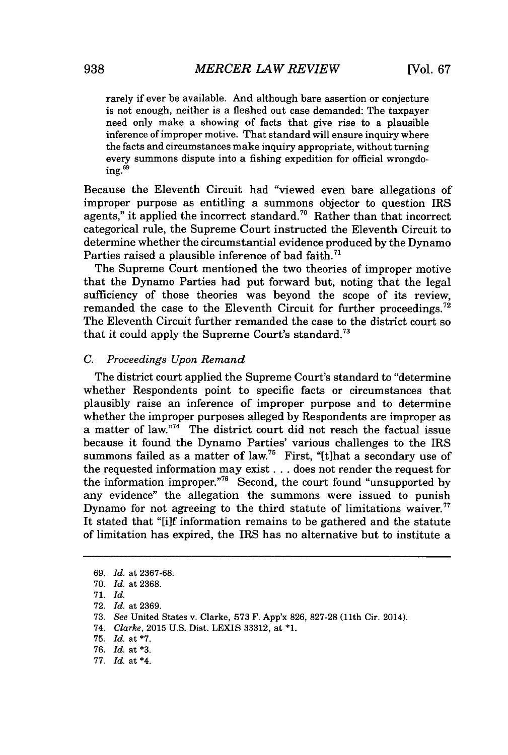rarely if ever be available. And although bare assertion or conjecture is not enough, neither is a fleshed out case demanded: The taxpayer need only make a showing of facts that give rise to a plausible inference of improper motive. That standard will ensure inquiry where the facts and circumstances make inquiry appropriate, without turning every summons dispute into a fishing expedition for official wrongdo $in \sigma$ .<sup>69</sup>

Because the Eleventh Circuit had "viewed even bare allegations of improper purpose as entitling a summons objector to question IRS agents," it applied the incorrect standard.<sup>70</sup> Rather than that incorrect categorical rule, the Supreme Court instructed the Eleventh Circuit to determine whether the circumstantial evidence produced **by** the Dynamo Parties raised a plausible inference of bad faith. $71$ 

The Supreme Court mentioned the two theories of improper motive that the Dynamo Parties had put forward but, noting that the legal sufficiency of those theories was beyond the scope of its review. remanded the case to the Eleventh Circuit for further proceedings.<sup>72</sup> The Eleventh Circuit further remanded the case to the district court so that it could apply the Supreme Court's standard.<sup>73</sup>

# *C. Proceedings Upon Remand*

The district court applied the Supreme Court's standard to "determine whether Respondents point to specific facts or circumstances that plausibly raise an inference of improper purpose and to determine whether the improper purposes alleged **by** Respondents are improper as a matter of law."74 The district court did not reach the factual issue because it found the Dynamo Parties' various challenges to the IRS summons failed as a matter of law.<sup>75</sup> First, "[t]hat a secondary use of the requested information may exist **.** . **.** does not render the request for the information improper."<sup>76</sup> Second, the court found "unsupported by any evidence" the allegation the summons were issued to punish Dynamo for not agreeing to the third statute of limitations waiver.<sup>77</sup> It stated that "[i]f information remains to be gathered and the statute of limitation has expired, the IRS has no alternative but to institute a

*<sup>69.</sup> Id.* at **2367-68.**

**<sup>70.</sup>** *Id.* at **2368.**

**<sup>71.</sup>** *Id.*

**<sup>72.</sup>** *Id.* at **2369.**

**<sup>73.</sup>** *See* United States v. Clarke, **573** F. App'x **826, 827-28** (11th Cir. 2014).

<sup>74.</sup> *Clarke,* **2015 U.S.** Dist. LEXIS **33312,** at **\*1.**

**<sup>75.</sup>** *Id.* at **\*7.**

*<sup>76.</sup> Id.* at **\*3.**

**<sup>77.</sup>** *Id.* at \*4.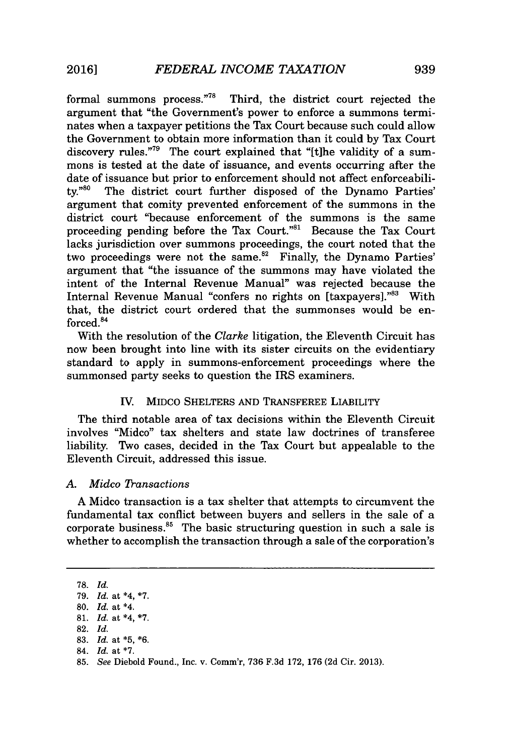formal summons process **."78** Third, the district court rejected the argument that "the Government's power to enforce a summons terminates when a taxpayer petitions the Tax Court because such could allow the Government to obtain more information than it could **by** Tax Court discovery rules."<sup>79</sup> The court explained that " $[$ tlhe validity of a summons is tested at the date of issuance, and events occurring after the date of issuance but prior to enforcement should not affect enforceability."80 The district court further disposed of the Dynamo Parties' argument that comity prevented enforcement of the summons in the district court "because enforcement of the summons is the same proceeding pending before the Tax Court."" Because the Tax Court lacks jurisdiction over summons proceedings, the court noted that the two proceedings were not the same.<sup>82</sup> Finally, the Dynamo Parties' argument that "the issuance of the summons may have violated the intent of the Internal Revenue Manual" was rejected because the Internal Revenue Manual "confers no rights on [taxpayers]."83 With that, the district court ordered that the summonses would be enforced.<sup>84</sup>

With the resolution of the *Clarke* litigation, the Eleventh Circuit has now been brought into line with its sister circuits on the evidentiary standard to apply in summons-enforcement proceedings where the summonsed party seeks to question the IRS examiners.

# IV. **MIDCO** SHELTERS **AND** TRANSFEREE LIABILITY

The third notable area of tax decisions within the Eleventh Circuit involves "Midco" tax shelters and state law doctrines of transferee liability. Two cases, decided in the Tax Court but appealable to the Eleventh Circuit, addressed this issue.

#### *A. Midco ransactions*

**A** Midco transaction is a tax shelter that attempts to circumvent the fundamental tax conflict between buyers and sellers in the sale of a corporate business. $85$  The basic structuring question in such a sale is whether to accomplish the transaction through a sale of the corporation's

**<sup>78.</sup>** *Id.* **79.** *Id. at \*4,* **\*7. 80.** *Id. at \*4.* **81.** *Id. at \*4,* **\*7. 82.** *Id.* **83.** *Id. at* **\*5, \*6.** 84. *Id. at* **\*7. 85.** *See* Diebold Found., Inc. v. Comm'r, **736 F.3d 172, 176 (2d** Cir. **2013).**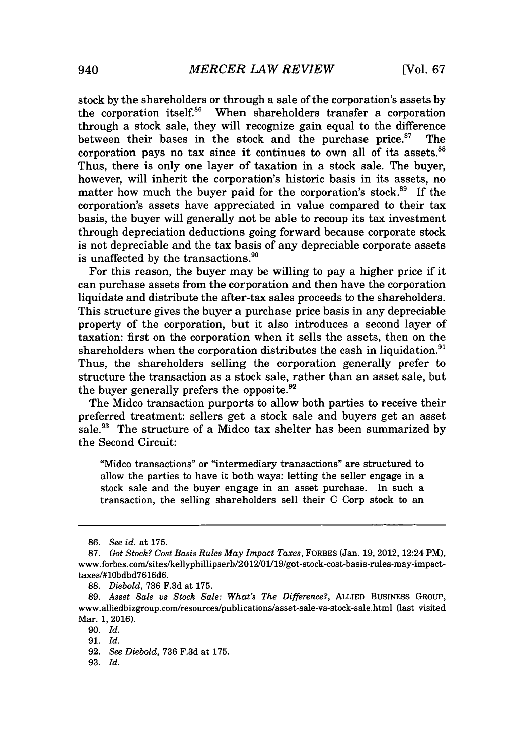stock **by** the shareholders or through a sale of the corporation's assets **by** the corporation itself.<sup>86</sup> When shareholders transfer a corporation through a stock sale, they will recognize gain equal to the difference between their bases in the stock and the purchase price. $57$  The corporation pays no tax since it continues to own all of its assets. $88$ Thus, there is only one layer of taxation in a stock sale. The buyer, however, will inherit the corporation's historic basis in its assets, no matter how much the buyer paid for the corporation's stock. $^{89}$  If the corporation's assets have appreciated in value compared to their tax basis, the buyer will generally not be able to recoup its tax investment through depreciation deductions going forward because corporate stock is not depreciable and the tax basis of any depreciable corporate assets is unaffected **by** the transactions."

For this reason, the buyer may be willing to pay a higher price if it can purchase assets from the corporation and then have the corporation liquidate and distribute the after-tax sales proceeds to the shareholders. This structure gives the buyer a purchase price basis in any depreciable property of the corporation, but it also introduces a second layer of taxation: first on the corporation when it sells the assets, then on the shareholders when the corporation distributes the cash in liquidation. $<sup>91</sup>$ </sup> Thus, the shareholders selling the corporation generally prefer to structure the transaction as a stock sale, rather than an asset sale, but the buyer generally prefers the opposite. $92$ 

The Midco transaction purports to allow both parties to receive their preferred treatment: sellers get a stock sale and buyers get an asset sale." The structure of a Midco tax shelter has been summarized **by** the Second Circuit:

"Midco transactions" or "intermediary transactions" are structured to allow the parties to have it both ways: letting the seller engage in a stock sale and the buyer engage in an asset purchase. In such a transaction, the selling shareholders sell their **C** Corp stock to an

**93.** *Id.*

**<sup>86.</sup>** *See id. at* **175.**

**<sup>87.</sup>** *Got Stock? Cost Basis Rules May Impact Taxes,* FORBES (Jan. **19, 2012,** 12:24 PM), www.forbes.com/sites/kellyphillipserb/2012/01/19/got-stock-cost-basis-rules-may-impact**taxes/#10bdbd7616d6.**

**<sup>88.</sup>** *Diebold,* **736 F.3d** at **175.**

*<sup>89.</sup> Asset Sale vs Stock Sale: What's The Difference?,* ALLIED BUSINESS GROUP, www.alliedbizgroup.com/resources/publications/asset-sale-vs-stock-sale.html (last visited Mar. **1, 2016).**

**<sup>90.</sup>** *Id.*

*<sup>91.</sup> Id.*

**<sup>92.</sup>** *See Diebold,* **736 F.3d** at **175.**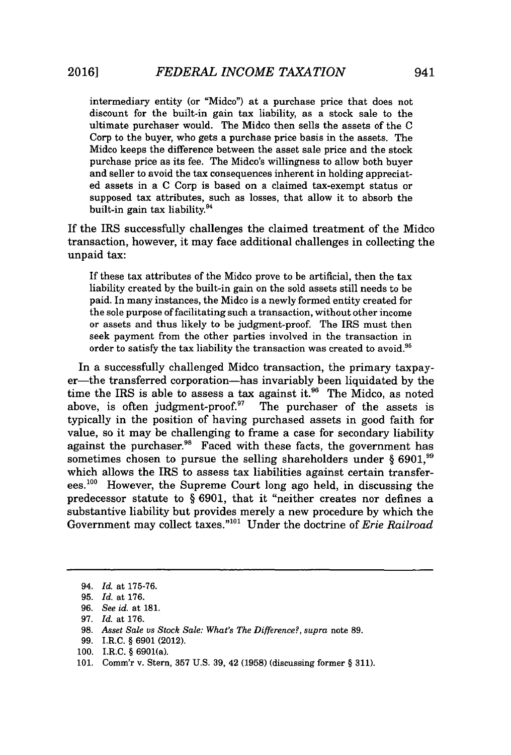intermediary entity (or "Midco") at a purchase price that does not discount for the built-in gain tax liability, as a stock sale to the ultimate purchaser would. The Midco then sells the assets of the **C** Corp to the buyer, who gets a purchase price basis in the assets. The Mideo keeps the difference between the asset sale price and the stock purchase price as its fee. The Midco's willingness to allow both buyer and seller to avoid the tax consequences inherent in holding appreciated assets in a **C** Corp is based on a claimed tax-exempt status or supposed tax attributes, such as losses, that allow it to absorb the built-in gain tax liability. $94$ 

If the IRS successfully challenges the claimed treatment of the Midco transaction, however, it may face additional challenges in collecting the unpaid tax:

If these tax attributes of the Midco prove to be artificial, then the tax liability created **by** the built-in gain on the sold assets still needs to be paid. In many instances, the Midco is a newly formed entity created for the sole purpose of facilitating such a transaction, without other income or assets and thus likely to be judgment-proof. The IRS must then seek payment from the other parties involved in the transaction in order to satisfy the tax liability the transaction was created to avoid.<sup>95</sup>

In a successfully challenged Midco transaction, the primary taxpayer-the transferred corporation-has invariably been liquidated **by** the time the IRS is able to assess a tax against it.<sup>96</sup> The Midco, as noted above, is often judgment-proof. $10^7$  The purchaser of the assets is typically in the position of having purchased assets in good faith for value, so it may be challenging to frame a case for secondary liability against the purchaser.<sup>98</sup> Faced with these facts, the government has sometimes chosen to pursue the selling shareholders under § 6901,<sup>99</sup> which allows the IRS to assess tax liabilities against certain transferees.<sup>100</sup> However, the Supreme Court long ago held, in discussing the predecessor statute to *§* **6901,** that it "neither creates nor defines a substantive liability but provides merely a new procedure **by** which the Government may collect taxes.""o' Under the doctrine of *Erie Railroad*

*<sup>94.</sup> Id.* at **175-76.**

**<sup>95.</sup>** *Id.* at **176.**

*<sup>96.</sup> See id.* at **181.**

*<sup>97.</sup> Id. at* **176.**

**<sup>98.</sup>** *Asset Sale vs Stock Sale: What's The Difference?, supra* note **89.**

**<sup>99.</sup>** I.R.C. **§ 6901** (2012).

**<sup>100.</sup>** I.R.C. **§** 6901(a).

**<sup>101.</sup>** Comm'r v. Stern, **357 U.S. 39,** 42 **(1958)** (discussing former **§ 311).**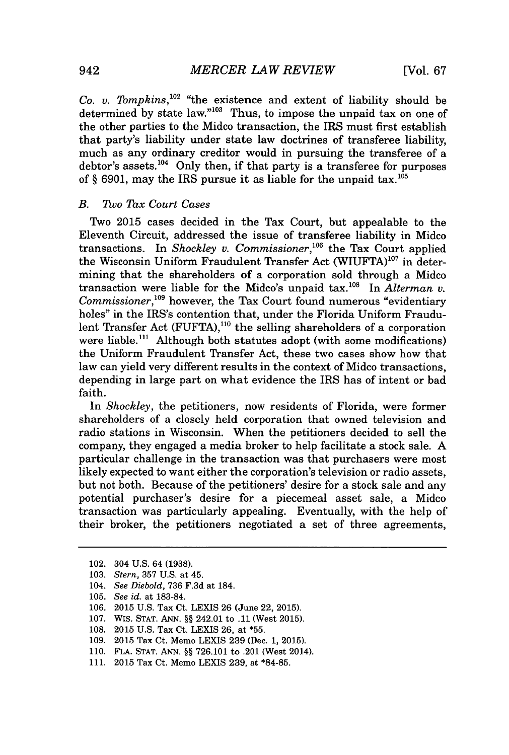*Co. v. Tompkins, <sup>1</sup> <sup>0</sup> <sup>2</sup>*"the existence and extent of liability should be determined by state law."<sup>103</sup> Thus, to impose the unpaid tax on one of the other parties to the Midco transaction, the IRS must first establish that party's liability under state law doctrines of transferee liability, much as any ordinary creditor would in pursuing the transferee of a debtor's assets.<sup>104</sup> Only then, if that party is a transferee for purposes of  $\S$  6901, may the IRS pursue it as liable for the unpaid tax.<sup>105</sup>

### *B. 'Too Tax Court Cases*

Two **2015** cases decided in the Tax Court, but appealable to the Eleventh Circuit, addressed the issue of transferee liability in Midco transactions. In *Shockley v. Commissioner,106* the Tax Court applied the Wisconsin Uniform Fraudulent Transfer Act  $(WIUFTA)^{107}$  in determining that the shareholders of a corporation sold through a Midco transaction were liable for the Midco's unpaid tax.<sup>108</sup> In *Alterman v. Commissioner*,<sup>109</sup> however, the Tax Court found numerous "evidentiary holes" in the IRS's contention that, under the Florida Uniform Fraudulent Transfer Act (FUFTA),<sup>110</sup> the selling shareholders of a corporation were liable.<sup>111</sup> Although both statutes adopt (with some modifications) the Uniform Fraudulent Transfer Act, these two cases show how that law can yield very different results in the context of Midco transactions, depending in large part on what evidence the IRS has of intent or bad faith.

*In Shockley,* the petitioners, now residents of Florida, were former shareholders of a closely held corporation that owned television and radio stations in Wisconsin. When the petitioners decided to sell the company, they engaged a media broker to help facilitate a stock sale. **A** particular challenge in the transaction was that purchasers were most likely expected to want either the corporation's television or radio assets, but not both. Because of the petitioners' desire for a stock sale and any potential purchaser's desire for a piecemeal asset sale, a Midco transaction was particularly appealing. Eventually, with the help of their broker, the petitioners negotiated a set of three agreements,

- **108. 2015 U.S.** Tax Ct. LEXIS **26,** at **\*55.**
- **109. 2015** Tax Ct. Memo LEXIS **239** (Dec. **1, 2015).**
- **110. FLA. STAT. ANN. §§ 726.101** to .201 (West 2014).
- **111. 2015** Tax Ct. Memo LEXIS **239,** at **\*84-85.**

<sup>102. 304</sup> **U.S.** 64 **(1938).**

**<sup>103.</sup>** *Stern,* **357 U.S.** *at* 45.

<sup>104.</sup> *See Diebold,* **736 F.3d** *at* 184.

**<sup>105.</sup>** *See id. at* **183-84.**

**<sup>106. 2015</sup> U.S.** Tax Ct. LEXIS **26** (June 22, **2015).**

**<sup>107.</sup>** Wis. **STAT. ANN. §§** 242.01 to **.11** (West **2015).**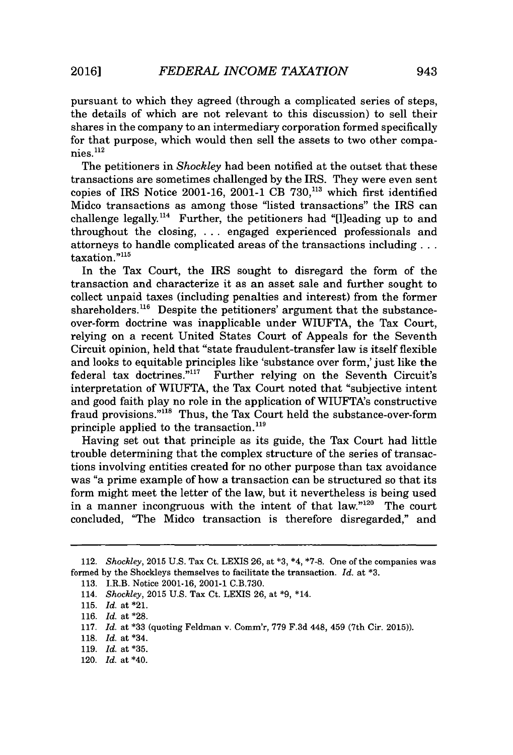pursuant to which they agreed (through a complicated series of steps, the details of which are not relevant to this discussion) to sell their shares in the company to an intermediary corporation formed specifically for that purpose, which would then sell the assets to two other companies.112

The petitioners in *Shockley* had been notified at the outset that these transactions are sometimes challenged **by** the IRS. They were even sent copies of IRS Notice **2001-16,** 2001-1 CB **730,113** which first identified Midco transactions as among those "listed transactions" the IRS can challenge legally.<sup>114</sup> Further, the petitioners had "[I]eading up to and throughout the closing, **. . .** engaged experienced professionals and attorneys to handle complicated areas of the transactions including **...** taxation."<sup>115</sup>

In the Tax Court, the IRS sought to disregard the form of the transaction and characterize it as an asset sale and further sought to collect unpaid taxes (including penalties and interest) from the former shareholders.<sup>116</sup> Despite the petitioners' argument that the substanceover-form doctrine was inapplicable under WIUFTA, the Tax Court, relying on a recent United States Court of Appeals for the Seventh Circuit opinion, held that "state fraudulent-transfer law is itself flexible and looks to equitable principles like 'substance over form,' just like the federal tax doctrines.<sup>"117</sup> Further relying on the Seventh Circuit's interpretation of **WIUFTA,** the Tax Court noted that "subjective intent and good faith play no role in the application of WIUFTA's constructive fraud provisions."<sup>118</sup> Thus, the Tax Court held the substance-over-form principle applied to the transaction.<sup>119</sup>

Having set out that principle as its guide, the Tax Court had little trouble determining that the complex structure of the series of transactions involving entities created for no other purpose than tax avoidance was "a prime example of how a transaction can be structured so that its form might meet the letter of the law, but it nevertheless is being used in a manner incongruous with the intent of that  $law.^{120}$  The court concluded, "The Midco transaction is therefore disregarded," and

*<sup>112.</sup> Shockley,* **2015 U.S.** Tax Ct. LEXIS **26,** at **\*3,** \*4, **\*7-8.** One of the companies was formed **by** the Shockleys themselves to facilitate the transaction. *Id. at* **\*3.**

**<sup>113.</sup>** I.R.B. Notice **2001-16,** 2001-1 **C.B.730.**

<sup>114.</sup> *Shockley,* **2015 U.S.** Tax Ct. **LEXIS 26,** at **\*9,** \*14.

**<sup>115.</sup>** *Id.* at \*21.

**<sup>116.</sup>** *Id.* at **\*28.**

**<sup>117.</sup>** *Id.* at **\*33** (quoting Feldman v. Comm'r, **779 F.3d** 448, 459 (7th Cir. **2015)).**

**<sup>118.</sup>** *Id.* at \*34.

**<sup>119.</sup>** *Id.* at **\*35.**

<sup>120.</sup> *Id.* at \*40.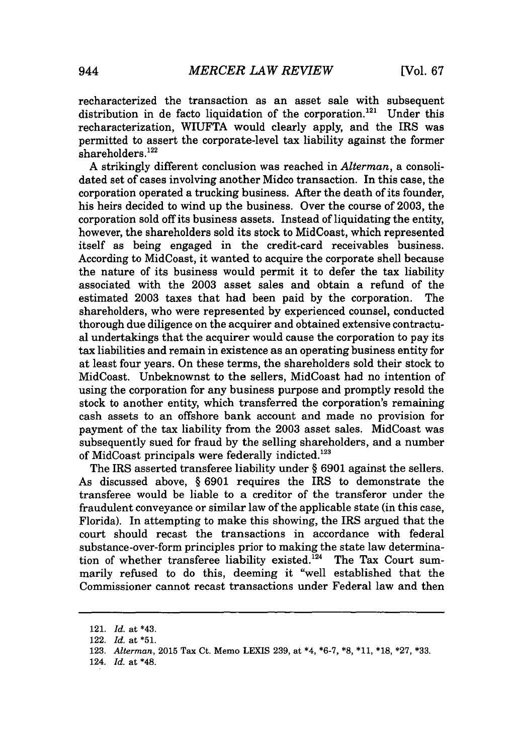recharacterized the transaction as an asset sale with subsequent distribution in de facto liquidation of the corporation.<sup>121</sup> Under this recharacterization, WIUFTA would clearly apply, and the IRS was permitted to assert the corporate-level tax liability against the former  $shareholders.<sup>122</sup>$ 

**A** strikingly different conclusion was reached in *Alterman,* a consolidated set of cases involving another Midco transaction. In this case, the corporation operated a trucking business. After the death of its founder, his heirs decided to wind up the business. Over the course of **2003,** the corporation sold off its business assets. Instead of liquidating the entity, however, the shareholders sold its stock to MidCoast, which represented itself as being engaged in the credit-card receivables business. According to MidCoast, it wanted to acquire the corporate shell because the nature of its business would permit it to defer the tax liability associated with the **2003** asset sales and obtain a refund of the estimated **2003** taxes that had been paid **by** the corporation. The shareholders, who were represented **by** experienced counsel, conducted thorough due diligence on the acquirer and obtained extensive contractual undertakings that the acquirer would cause the corporation to pay its tax liabilities and remain in existence as an operating business entity for at least four years. On these terms, the shareholders sold their stock to MidCoast. Unbeknownst to the sellers, MidCoast had no intention of using the corporation for any business purpose and promptly resold the stock to another entity, which transferred the corporation's remaining cash assets to an offshore bank account and made no provision for payment of the tax liability from the **2003** asset sales. MidCoast was subsequently sued for fraud **by** the selling shareholders, and a number of MidCoast principals were federally indicted.<sup>123</sup>

The IRS asserted transferee liability under *§* **6901** against the sellers. As discussed above, *§* **6901** requires the IRS to demonstrate the transferee would be liable to a creditor of the transferor under the fraudulent conveyance or similar law of the applicable state (in this case, Florida). In attempting to make this showing, the IRS argued that the court should recast the transactions in accordance with federal substance-over-form principles prior to making the state law determination of whether transferee liability existed.<sup>124</sup> The Tax Court summarily refused to do this, deeming it "well established that the Commissioner cannot recast transactions under Federal law and then

<sup>121.</sup> *Id. at* \*43.

<sup>122.</sup> *Id. at* **\*51.**

**<sup>123.</sup>** *Alterman,* **2015** Tax Ct. Memo LEXIS **239,** at \*4, **\*6-7, \*8, \*11, \*18, \*27, \*33.**

<sup>124.</sup> *Id. at \*48.*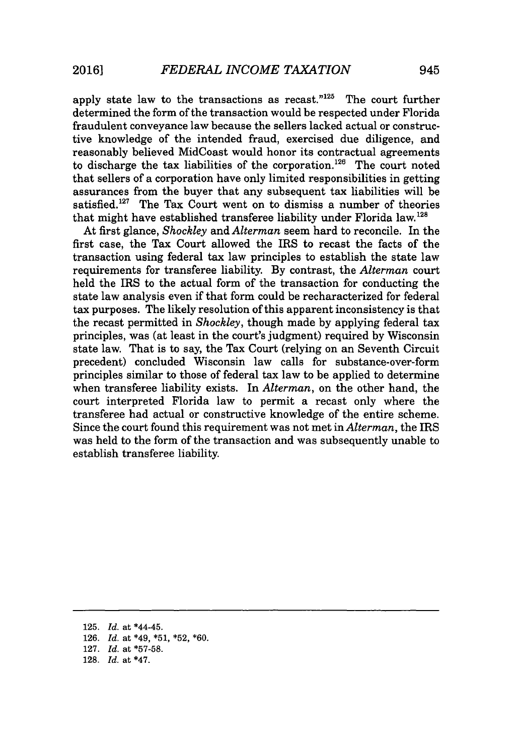apply state law to the transactions as recast." $125$  The court further determined the form of the transaction would be respected under Florida fraudulent conveyance law because the sellers lacked actual or constructive knowledge of the intended fraud, exercised due diligence, and reasonably believed MidCoast would honor its contractual agreements to discharge the tax liabilities of the corporation.<sup>126</sup> The court noted that sellers of a corporation have only limited responsibilities in getting assurances from the buyer that any subsequent tax liabilities will be satisfied.<sup>127</sup> The Tax Court went on to dismiss a number of theories that might have established transferee liability under Florida law.1<sup>28</sup>

At first glance, *Shockley* and *Alterman* seem hard to reconcile. In the first case, the Tax Court allowed the IRS to recast the facts of the transaction using federal tax law principles to establish the state law requirements for transferee liability. **By** contrast, the *Alterman* court held the IRS to the actual form of the transaction for conducting the state law analysis even if that form could be recharacterized for federal tax purposes. The likely resolution of this apparent inconsistency is that the recast permitted in *Shockley,* though made **by** applying federal tax principles, was (at least in the court's judgment) required **by** Wisconsin state law. That is to say, the Tax Court (relying on an Seventh Circuit precedent) concluded Wisconsin law calls for substance-over-form principles similar to those of federal tax law to be applied to determine when transferee liability exists. In *Alterman,* on the other hand, the court interpreted Florida law to permit a recast only where the transferee had actual or constructive knowledge of the entire scheme. Since the court found this requirement was not met in *Alterman,* the IRS was held to the form of the transaction and was subsequently unable to establish transferee liability.

**125.** *Id.* at \*44-45. **126.** *Id.* at \*49, **\*51, \*52, \*60. 127.** *Id.* at **\*57-58. 128.** *Id.* at \*47.